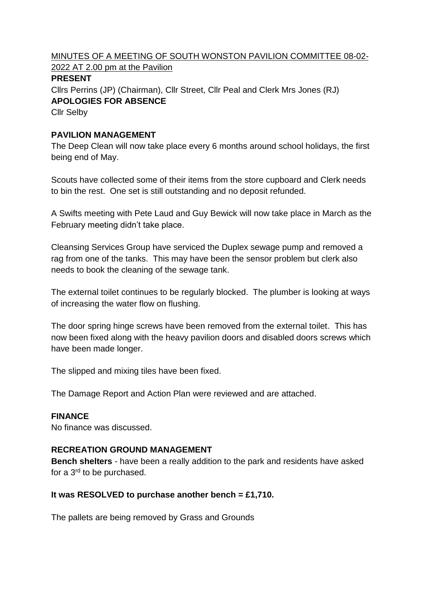MINUTES OF A MEETING OF SOUTH WONSTON PAVILION COMMITTEE 08-02- 2022 AT 2.00 pm at the Pavilion

# **PRESENT**

Cllrs Perrins (JP) (Chairman), Cllr Street, Cllr Peal and Clerk Mrs Jones (RJ) **APOLOGIES FOR ABSENCE**

Cllr Selby

## **PAVILION MANAGEMENT**

The Deep Clean will now take place every 6 months around school holidays, the first being end of May.

Scouts have collected some of their items from the store cupboard and Clerk needs to bin the rest. One set is still outstanding and no deposit refunded.

A Swifts meeting with Pete Laud and Guy Bewick will now take place in March as the February meeting didn't take place.

Cleansing Services Group have serviced the Duplex sewage pump and removed a rag from one of the tanks. This may have been the sensor problem but clerk also needs to book the cleaning of the sewage tank.

The external toilet continues to be regularly blocked. The plumber is looking at ways of increasing the water flow on flushing.

The door spring hinge screws have been removed from the external toilet. This has now been fixed along with the heavy pavilion doors and disabled doors screws which have been made longer.

The slipped and mixing tiles have been fixed.

The Damage Report and Action Plan were reviewed and are attached.

# **FINANCE**

No finance was discussed.

#### **RECREATION GROUND MANAGEMENT**

**Bench shelters** - have been a really addition to the park and residents have asked for a 3rd to be purchased.

#### **It was RESOLVED to purchase another bench = £1,710.**

The pallets are being removed by Grass and Grounds